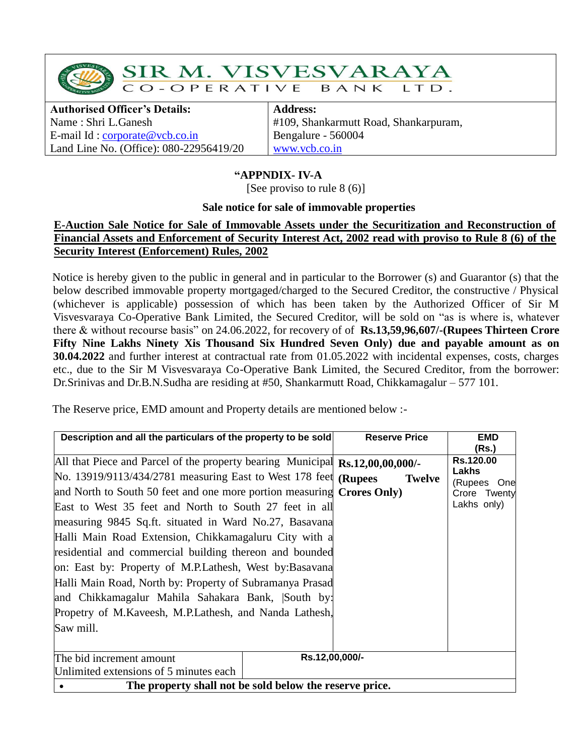

# SIR M. VISVESVARAYA

**Authorised Officer's Details:** Name : Shri L.Ganesh E-mail Id : [corporate@vcb.co.in](mailto:corporate@vcb.co.in) Land Line No. (Office): 080-22956419/20

**Address:** #109, Shankarmutt Road, Shankarpuram, Bengalure - 560004 [www.vcb.co.in](http://www.vcb.co.in/)

## **"APPNDIX- IV-A**

[See proviso to rule 8 (6)]

#### **Sale notice for sale of immovable properties**

## **E-Auction Sale Notice for Sale of Immovable Assets under the Securitization and Reconstruction of Financial Assets and Enforcement of Security Interest Act, 2002 read with proviso to Rule 8 (6) of the Security Interest (Enforcement) Rules, 2002**

Notice is hereby given to the public in general and in particular to the Borrower (s) and Guarantor (s) that the below described immovable property mortgaged/charged to the Secured Creditor, the constructive / Physical (whichever is applicable) possession of which has been taken by the Authorized Officer of Sir M Visvesvaraya Co-Operative Bank Limited, the Secured Creditor, will be sold on "as is where is, whatever there & without recourse basis" on 24.06.2022, for recovery of of **Rs.13,59,96,607/-(Rupees Thirteen Crore Fifty Nine Lakhs Ninety Xis Thousand Six Hundred Seven Only) due and payable amount as on 30.04.2022** and further interest at contractual rate from 01.05.2022 with incidental expenses, costs, charges etc., due to the Sir M Visvesvaraya Co-Operative Bank Limited, the Secured Creditor, from the borrower: Dr.Srinivas and Dr.B.N.Sudha are residing at #50, Shankarmutt Road, Chikkamagalur – 577 101.

The Reserve price, EMD amount and Property details are mentioned below :-

| Description and all the particulars of the property to be sold                                                                                                                                                                                                                                                                                                                                                                                                                                                                                                                                                                                                                                                       |                | <b>Reserve Price</b> | <b>EMD</b><br>(Rs.)                                              |
|----------------------------------------------------------------------------------------------------------------------------------------------------------------------------------------------------------------------------------------------------------------------------------------------------------------------------------------------------------------------------------------------------------------------------------------------------------------------------------------------------------------------------------------------------------------------------------------------------------------------------------------------------------------------------------------------------------------------|----------------|----------------------|------------------------------------------------------------------|
| All that Piece and Parcel of the property bearing Municipal Rs.12,00,00,000/-<br>No. 13919/9113/434/2781 measuring East to West 178 feet (Rupees<br>and North to South 50 feet and one more portion measuring Crores Only)<br>East to West 35 feet and North to South 27 feet in all<br>measuring 9845 Sq.ft. situated in Ward No.27, Basavana<br>Halli Main Road Extension, Chikkamagaluru City with a<br>residential and commercial building thereon and bounded<br>on: East by: Property of M.P.Lathesh, West by:Basavana<br>Halli Main Road, North by: Property of Subramanya Prasad<br>and Chikkamagalur Mahila Sahakara Bank, South by:<br>Propetry of M.Kaveesh, M.P.Lathesh, and Nanda Lathesh,<br>Saw mill. |                | <b>Twelve</b>        | Rs.120.00<br>Lakhs<br>(Rupees One<br>Crore Twenty<br>Lakhs only) |
| The bid increment amount                                                                                                                                                                                                                                                                                                                                                                                                                                                                                                                                                                                                                                                                                             | Rs.12,00,000/- |                      |                                                                  |
| Unlimited extensions of 5 minutes each                                                                                                                                                                                                                                                                                                                                                                                                                                                                                                                                                                                                                                                                               |                |                      |                                                                  |
| The property shall not be sold below the reserve price.                                                                                                                                                                                                                                                                                                                                                                                                                                                                                                                                                                                                                                                              |                |                      |                                                                  |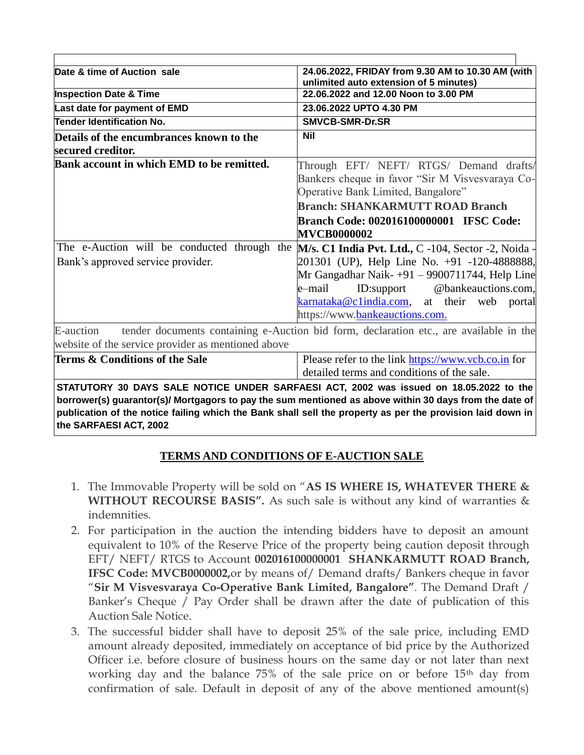| Date & time of Auction sale                        | 24.06.2022, FRIDAY from 9.30 AM to 10.30 AM (with                                               |
|----------------------------------------------------|-------------------------------------------------------------------------------------------------|
|                                                    | unlimited auto extension of 5 minutes)                                                          |
| <b>Inspection Date &amp; Time</b>                  | 22.06.2022 and 12.00 Noon to 3.00 PM                                                            |
| Last date for payment of EMD                       | 23.06.2022 UPTO 4.30 PM                                                                         |
| Tender Identification No.                          | SMVCB-SMR-Dr.SR                                                                                 |
| Details of the encumbrances known to the           | <b>Nil</b>                                                                                      |
| secured creditor.                                  |                                                                                                 |
| Bank account in which EMD to be remitted.          | Through EFT/ NEFT/ RTGS/ Demand drafts/                                                         |
|                                                    | Bankers cheque in favor "Sir M Visvesvaraya Co-                                                 |
|                                                    | Operative Bank Limited, Bangalore"                                                              |
|                                                    | <b>Branch: SHANKARMUTT ROAD Branch</b>                                                          |
|                                                    | <b>Branch Code: 002016100000001 IFSC Code:</b>                                                  |
|                                                    | <b>MVCB0000002</b>                                                                              |
|                                                    | The e-Auction will be conducted through the M/s. C1 India Pvt. Ltd., C -104, Sector -2, Noida - |
| Bank's approved service provider.                  | 201301 (UP), Help Line No. +91 -120-4888888,                                                    |
|                                                    | Mr Gangadhar Naik- $+91 - 9900711744$ , Help Line                                               |
|                                                    | ID:support <i>@bankeauctions.com</i> ,<br>e–mail                                                |
|                                                    | karnataka@c1india.com, at their web portal                                                      |
|                                                    | https://www.bankeauctions.com.                                                                  |
| E-auction                                          | tender documents containing e-Auction bid form, declaration etc., are available in the          |
| website of the service provider as mentioned above |                                                                                                 |

| Terms & Conditions of the Sale | Please refer to the link https://www.vcb.co.in for |
|--------------------------------|----------------------------------------------------|
|                                | detailed terms and conditions of the sale.         |

**STATUTORY 30 DAYS SALE NOTICE UNDER SARFAESI ACT, 2002 was issued on 18.05.2022 to the borrower(s) guarantor(s)/ Mortgagors to pay the sum mentioned as above within 30 days from the date of publication of the notice failing which the Bank shall sell the property as per the provision laid down in the SARFAESI ACT, 2002**

# **TERMS AND CONDITIONS OF E-AUCTION SALE**

- 1. The Immovable Property will be sold on "**AS IS WHERE IS, WHATEVER THERE & WITHOUT RECOURSE BASIS".** As such sale is without any kind of warranties & indemnities.
- 2. For participation in the auction the intending bidders have to deposit an amount equivalent to 10% of the Reserve Price of the property being caution deposit through EFT/ NEFT/ RTGS to Account **002016100000001 SHANKARMUTT ROAD Branch, IFSC Code: MVCB0000002,**or by means of/ Demand drafts/ Bankers cheque in favor "**Sir M Visvesvaraya Co-Operative Bank Limited, Bangalore"**. The Demand Draft / Banker's Cheque / Pay Order shall be drawn after the date of publication of this Auction Sale Notice.
- 3. The successful bidder shall have to deposit 25% of the sale price, including EMD amount already deposited, immediately on acceptance of bid price by the Authorized Officer i.e. before closure of business hours on the same day or not later than next working day and the balance 75% of the sale price on or before 15th day from confirmation of sale. Default in deposit of any of the above mentioned amount(s)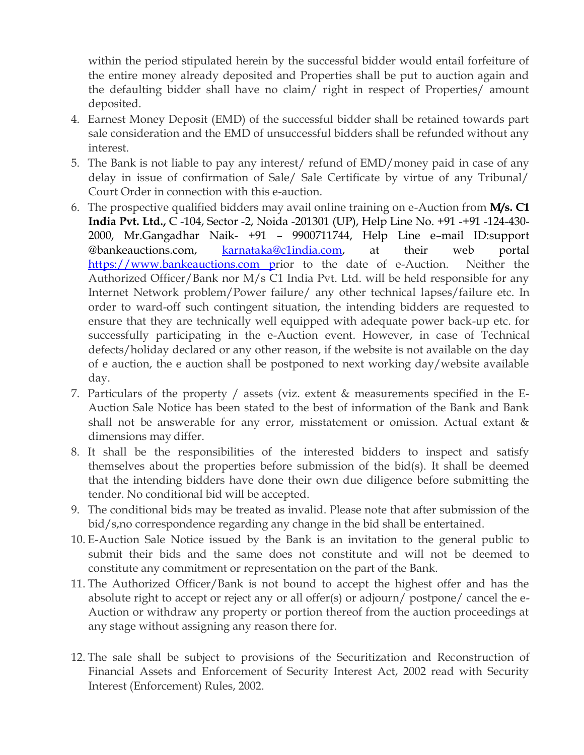within the period stipulated herein by the successful bidder would entail forfeiture of the entire money already deposited and Properties shall be put to auction again and the defaulting bidder shall have no claim/ right in respect of Properties/ amount deposited.

- 4. Earnest Money Deposit (EMD) of the successful bidder shall be retained towards part sale consideration and the EMD of unsuccessful bidders shall be refunded without any interest.
- 5. The Bank is not liable to pay any interest/ refund of EMD/money paid in case of any delay in issue of confirmation of Sale/ Sale Certificate by virtue of any Tribunal/ Court Order in connection with this e-auction.
- 6. The prospective qualified bidders may avail online training on e-Auction from **M/s. C1 India Pvt. Ltd.,** C -104, Sector -2, Noida -201301 (UP), Help Line No. +91 -+91 -124-430- 2000, Mr.Gangadhar Naik- +91 – 9900711744, Help Line e–mail ID:support @bankeauctions.com, [karnataka@c1india.com,](mailto:karnataka@c1india.com) at their web portal [https://www.bankeauctions.com](https://www.bankeauctions.com/) prior to the date of e-Auction. Neither the Authorized Officer/Bank nor M/s C1 India Pvt. Ltd. will be held responsible for any Internet Network problem/Power failure/ any other technical lapses/failure etc. In order to ward-off such contingent situation, the intending bidders are requested to ensure that they are technically well equipped with adequate power back-up etc. for successfully participating in the e-Auction event. However, in case of Technical defects/holiday declared or any other reason, if the website is not available on the day of e auction, the e auction shall be postponed to next working day/website available day.
- 7. Particulars of the property / assets (viz. extent & measurements specified in the E-Auction Sale Notice has been stated to the best of information of the Bank and Bank shall not be answerable for any error, misstatement or omission. Actual extant & dimensions may differ.
- 8. It shall be the responsibilities of the interested bidders to inspect and satisfy themselves about the properties before submission of the bid(s). It shall be deemed that the intending bidders have done their own due diligence before submitting the tender. No conditional bid will be accepted.
- 9. The conditional bids may be treated as invalid. Please note that after submission of the bid/s,no correspondence regarding any change in the bid shall be entertained.
- 10. E-Auction Sale Notice issued by the Bank is an invitation to the general public to submit their bids and the same does not constitute and will not be deemed to constitute any commitment or representation on the part of the Bank.
- 11. The Authorized Officer/Bank is not bound to accept the highest offer and has the absolute right to accept or reject any or all offer(s) or adjourn/ postpone/ cancel the e-Auction or withdraw any property or portion thereof from the auction proceedings at any stage without assigning any reason there for.
- 12. The sale shall be subject to provisions of the Securitization and Reconstruction of Financial Assets and Enforcement of Security Interest Act, 2002 read with Security Interest (Enforcement) Rules, 2002.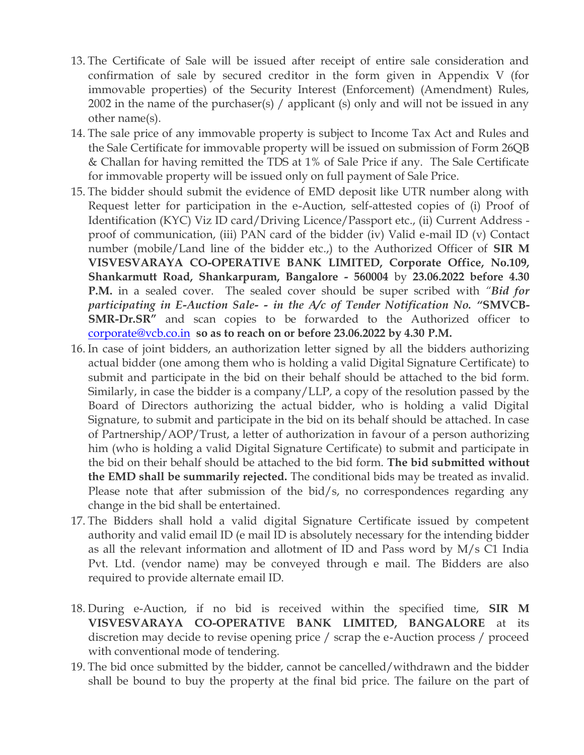- 13. The Certificate of Sale will be issued after receipt of entire sale consideration and confirmation of sale by secured creditor in the form given in Appendix V (for immovable properties) of the Security Interest (Enforcement) (Amendment) Rules, 2002 in the name of the purchaser(s) / applicant (s) only and will not be issued in any other name(s).
- 14. The sale price of any immovable property is subject to Income Tax Act and Rules and the Sale Certificate for immovable property will be issued on submission of Form 26QB & Challan for having remitted the TDS at 1% of Sale Price if any. The Sale Certificate for immovable property will be issued only on full payment of Sale Price.
- 15. The bidder should submit the evidence of EMD deposit like UTR number along with Request letter for participation in the e-Auction, self-attested copies of (i) Proof of Identification (KYC) Viz ID card/Driving Licence/Passport etc., (ii) Current Address proof of communication, (iii) PAN card of the bidder (iv) Valid e-mail ID (v) Contact number (mobile/Land line of the bidder etc.,) to the Authorized Officer of **SIR M VISVESVARAYA CO-OPERATIVE BANK LIMITED, Corporate Office, No.109, Shankarmutt Road, Shankarpuram, Bangalore - 560004** by **23.06.2022 before 4.30 P.M.** in a sealed cover. The sealed cover should be super scribed with *"Bid for participating in E-Auction Sale- - in the A/c of Tender Notification No. "***SMVCB-SMR-Dr.SR"** and scan copies to be forwarded to the Authorized officer to [corporate@vcb.co.in](mailto:corporate@vcb.co.in) **so as to reach on or before 23.06.2022 by 4.30 P.M.**
- 16. In case of joint bidders, an authorization letter signed by all the bidders authorizing actual bidder (one among them who is holding a valid Digital Signature Certificate) to submit and participate in the bid on their behalf should be attached to the bid form. Similarly, in case the bidder is a company/LLP, a copy of the resolution passed by the Board of Directors authorizing the actual bidder, who is holding a valid Digital Signature, to submit and participate in the bid on its behalf should be attached. In case of Partnership/AOP/Trust, a letter of authorization in favour of a person authorizing him (who is holding a valid Digital Signature Certificate) to submit and participate in the bid on their behalf should be attached to the bid form. **The bid submitted without the EMD shall be summarily rejected.** The conditional bids may be treated as invalid. Please note that after submission of the bid/s, no correspondences regarding any change in the bid shall be entertained.
- 17. The Bidders shall hold a valid digital Signature Certificate issued by competent authority and valid email ID (e mail ID is absolutely necessary for the intending bidder as all the relevant information and allotment of ID and Pass word by M/s C1 India Pvt. Ltd. (vendor name) may be conveyed through e mail. The Bidders are also required to provide alternate email ID.
- 18. During e-Auction, if no bid is received within the specified time, **SIR M VISVESVARAYA CO-OPERATIVE BANK LIMITED, BANGALORE** at its discretion may decide to revise opening price / scrap the e-Auction process / proceed with conventional mode of tendering.
- 19. The bid once submitted by the bidder, cannot be cancelled/withdrawn and the bidder shall be bound to buy the property at the final bid price. The failure on the part of